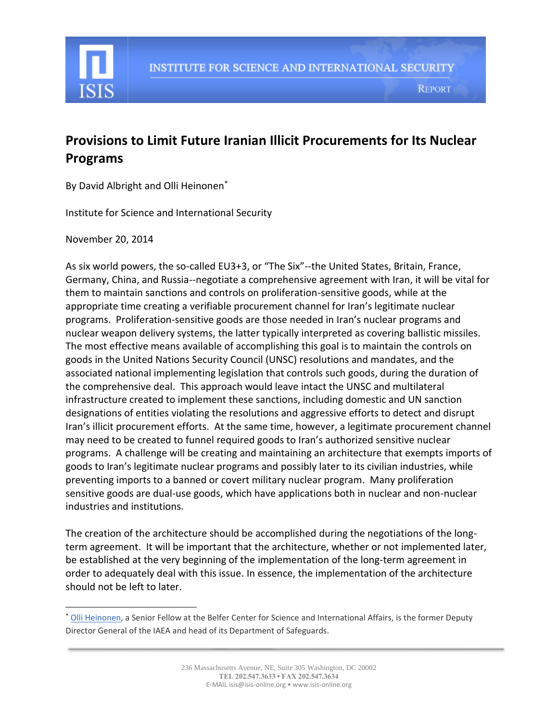

# **Provisions to Limit Future Iranian Illicit Procurements for Its Nuclear Programs**

By David Albright and Olli Heinonen<sup>\*</sup>

Institute for Science and International Security

November 20, 2014

 $\overline{\phantom{a}}$ 

As six world powers, the so-called EU3+3, or "The Six"--the United States, Britain, France, Germany, China, and Russia--negotiate a comprehensive agreement with Iran, it will be vital for them to maintain sanctions and controls on proliferation-sensitive goods, while at the appropriate time creating a verifiable procurement channel for Iran's legitimate nuclear programs. Proliferation-sensitive goods are those needed in Iran's nuclear programs and nuclear weapon delivery systems, the latter typically interpreted as covering ballistic missiles. The most effective means available of accomplishing this goal is to maintain the controls on goods in the United Nations Security Council (UNSC) resolutions and mandates, and the associated national implementing legislation that controls such goods, during the duration of the comprehensive deal. This approach would leave intact the UNSC and multilateral infrastructure created to implement these sanctions, including domestic and UN sanction designations of entities violating the resolutions and aggressive efforts to detect and disrupt Iran's illicit procurement efforts. At the same time, however, a legitimate procurement channel may need to be created to funnel required goods to Iran's authorized sensitive nuclear programs. A challenge will be creating and maintaining an architecture that exempts imports of goods to Iran's legitimate nuclear programs and possibly later to its civilian industries, while preventing imports to a banned or covert military nuclear program. Many proliferation sensitive goods are dual-use goods, which have applications both in nuclear and non-nuclear industries and institutions.

The creation of the architecture should be accomplished during the negotiations of the longterm agreement. It will be important that the architecture, whether or not implemented later, be established at the very beginning of the implementation of the long-term agreement in order to adequately deal with this issue. In essence, the implementation of the architecture should not be left to later.

<sup>\*</sup> [Olli Heinonen,](http://belfercenter.ksg.harvard.edu/experts/2107/olli_heinonen.html) a Senior Fellow at the Belfer Center for Science and International Affairs, is the former Deputy Director General of the IAEA and head of its Department of Safeguards.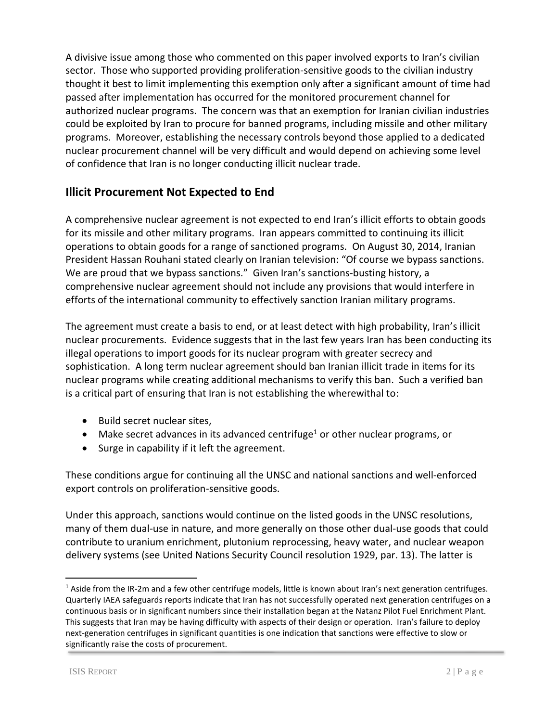A divisive issue among those who commented on this paper involved exports to Iran's civilian sector. Those who supported providing proliferation-sensitive goods to the civilian industry thought it best to limit implementing this exemption only after a significant amount of time had passed after implementation has occurred for the monitored procurement channel for authorized nuclear programs. The concern was that an exemption for Iranian civilian industries could be exploited by Iran to procure for banned programs, including missile and other military programs. Moreover, establishing the necessary controls beyond those applied to a dedicated nuclear procurement channel will be very difficult and would depend on achieving some level of confidence that Iran is no longer conducting illicit nuclear trade.

# **Illicit Procurement Not Expected to End**

A comprehensive nuclear agreement is not expected to end Iran's illicit efforts to obtain goods for its missile and other military programs. Iran appears committed to continuing its illicit operations to obtain goods for a range of sanctioned programs. On August 30, 2014, Iranian President Hassan Rouhani stated clearly on Iranian television: "Of course we bypass sanctions. We are proud that we bypass sanctions." Given Iran's sanctions-busting history, a comprehensive nuclear agreement should not include any provisions that would interfere in efforts of the international community to effectively sanction Iranian military programs.

The agreement must create a basis to end, or at least detect with high probability, Iran's illicit nuclear procurements. Evidence suggests that in the last few years Iran has been conducting its illegal operations to import goods for its nuclear program with greater secrecy and sophistication. A long term nuclear agreement should ban Iranian illicit trade in items for its nuclear programs while creating additional mechanisms to verify this ban. Such a verified ban is a critical part of ensuring that Iran is not establishing the wherewithal to:

- Build secret nuclear sites,
- $\bullet$  Make secret advances in its advanced centrifuge<sup>1</sup> or other nuclear programs, or
- Surge in capability if it left the agreement.

These conditions argue for continuing all the UNSC and national sanctions and well-enforced export controls on proliferation-sensitive goods.

Under this approach, sanctions would continue on the listed goods in the UNSC resolutions, many of them dual-use in nature, and more generally on those other dual-use goods that could contribute to uranium enrichment, plutonium reprocessing, heavy water, and nuclear weapon delivery systems (see United Nations Security Council resolution 1929, par. 13). The latter is

 $\overline{\phantom{a}}$ 

 $1$  Aside from the IR-2m and a few other centrifuge models, little is known about Iran's next generation centrifuges. Quarterly IAEA safeguards reports indicate that Iran has not successfully operated next generation centrifuges on a continuous basis or in significant numbers since their installation began at the Natanz Pilot Fuel Enrichment Plant. This suggests that Iran may be having difficulty with aspects of their design or operation. Iran's failure to deploy next-generation centrifuges in significant quantities is one indication that sanctions were effective to slow or significantly raise the costs of procurement.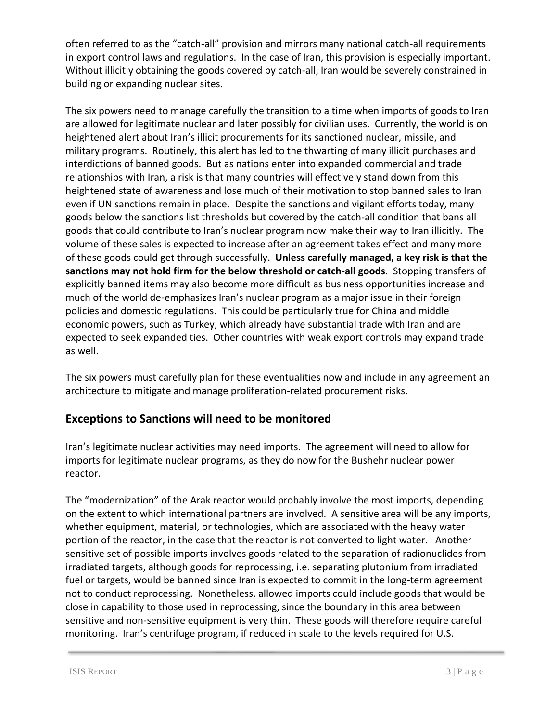often referred to as the "catch-all" provision and mirrors many national catch-all requirements in export control laws and regulations. In the case of Iran, this provision is especially important. Without illicitly obtaining the goods covered by catch-all, Iran would be severely constrained in building or expanding nuclear sites.

The six powers need to manage carefully the transition to a time when imports of goods to Iran are allowed for legitimate nuclear and later possibly for civilian uses. Currently, the world is on heightened alert about Iran's illicit procurements for its sanctioned nuclear, missile, and military programs. Routinely, this alert has led to the thwarting of many illicit purchases and interdictions of banned goods. But as nations enter into expanded commercial and trade relationships with Iran, a risk is that many countries will effectively stand down from this heightened state of awareness and lose much of their motivation to stop banned sales to Iran even if UN sanctions remain in place. Despite the sanctions and vigilant efforts today, many goods below the sanctions list thresholds but covered by the catch-all condition that bans all goods that could contribute to Iran's nuclear program now make their way to Iran illicitly. The volume of these sales is expected to increase after an agreement takes effect and many more of these goods could get through successfully. **Unless carefully managed, a key risk is that the sanctions may not hold firm for the below threshold or catch-all goods**. Stopping transfers of explicitly banned items may also become more difficult as business opportunities increase and much of the world de-emphasizes Iran's nuclear program as a major issue in their foreign policies and domestic regulations. This could be particularly true for China and middle economic powers, such as Turkey, which already have substantial trade with Iran and are expected to seek expanded ties. Other countries with weak export controls may expand trade as well.

The six powers must carefully plan for these eventualities now and include in any agreement an architecture to mitigate and manage proliferation-related procurement risks.

# **Exceptions to Sanctions will need to be monitored**

Iran's legitimate nuclear activities may need imports. The agreement will need to allow for imports for legitimate nuclear programs, as they do now for the Bushehr nuclear power reactor.

The "modernization" of the Arak reactor would probably involve the most imports, depending on the extent to which international partners are involved. A sensitive area will be any imports, whether equipment, material, or technologies, which are associated with the heavy water portion of the reactor, in the case that the reactor is not converted to light water. Another sensitive set of possible imports involves goods related to the separation of radionuclides from irradiated targets, although goods for reprocessing, i.e. separating plutonium from irradiated fuel or targets, would be banned since Iran is expected to commit in the long-term agreement not to conduct reprocessing. Nonetheless, allowed imports could include goods that would be close in capability to those used in reprocessing, since the boundary in this area between sensitive and non-sensitive equipment is very thin. These goods will therefore require careful monitoring. Iran's centrifuge program, if reduced in scale to the levels required for U.S.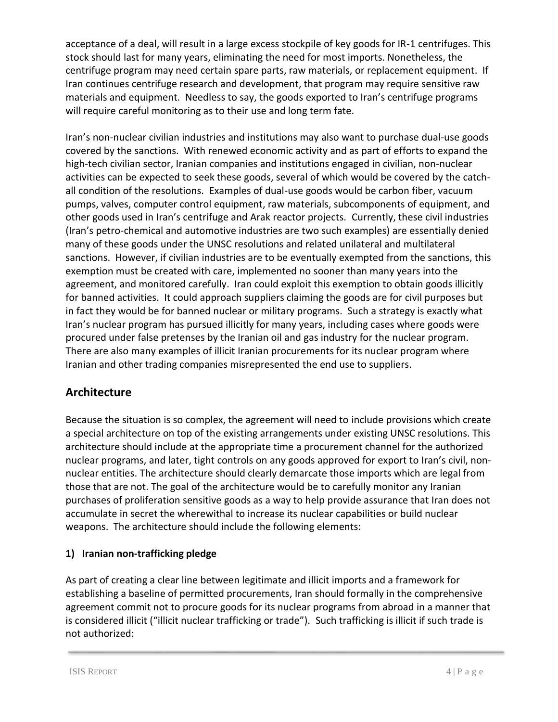acceptance of a deal, will result in a large excess stockpile of key goods for IR-1 centrifuges. This stock should last for many years, eliminating the need for most imports. Nonetheless, the centrifuge program may need certain spare parts, raw materials, or replacement equipment. If Iran continues centrifuge research and development, that program may require sensitive raw materials and equipment. Needless to say, the goods exported to Iran's centrifuge programs will require careful monitoring as to their use and long term fate.

Iran's non-nuclear civilian industries and institutions may also want to purchase dual-use goods covered by the sanctions. With renewed economic activity and as part of efforts to expand the high-tech civilian sector, Iranian companies and institutions engaged in civilian, non-nuclear activities can be expected to seek these goods, several of which would be covered by the catchall condition of the resolutions. Examples of dual-use goods would be carbon fiber, vacuum pumps, valves, computer control equipment, raw materials, subcomponents of equipment, and other goods used in Iran's centrifuge and Arak reactor projects. Currently, these civil industries (Iran's petro-chemical and automotive industries are two such examples) are essentially denied many of these goods under the UNSC resolutions and related unilateral and multilateral sanctions. However, if civilian industries are to be eventually exempted from the sanctions, this exemption must be created with care, implemented no sooner than many years into the agreement, and monitored carefully. Iran could exploit this exemption to obtain goods illicitly for banned activities. It could approach suppliers claiming the goods are for civil purposes but in fact they would be for banned nuclear or military programs. Such a strategy is exactly what Iran's nuclear program has pursued illicitly for many years, including cases where goods were procured under false pretenses by the Iranian oil and gas industry for the nuclear program. There are also many examples of illicit Iranian procurements for its nuclear program where Iranian and other trading companies misrepresented the end use to suppliers.

# **Architecture**

Because the situation is so complex, the agreement will need to include provisions which create a special architecture on top of the existing arrangements under existing UNSC resolutions. This architecture should include at the appropriate time a procurement channel for the authorized nuclear programs, and later, tight controls on any goods approved for export to Iran's civil, nonnuclear entities. The architecture should clearly demarcate those imports which are legal from those that are not. The goal of the architecture would be to carefully monitor any Iranian purchases of proliferation sensitive goods as a way to help provide assurance that Iran does not accumulate in secret the wherewithal to increase its nuclear capabilities or build nuclear weapons. The architecture should include the following elements:

## **1) Iranian non-trafficking pledge**

As part of creating a clear line between legitimate and illicit imports and a framework for establishing a baseline of permitted procurements, Iran should formally in the comprehensive agreement commit not to procure goods for its nuclear programs from abroad in a manner that is considered illicit ("illicit nuclear trafficking or trade"). Such trafficking is illicit if such trade is not authorized: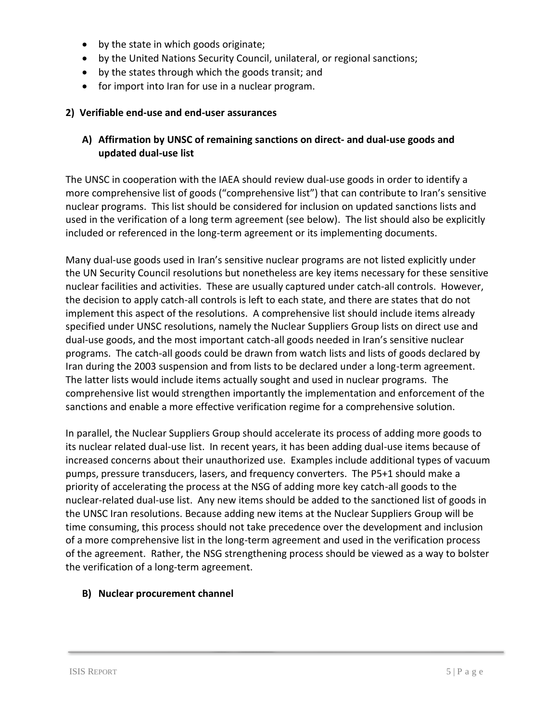- by the state in which goods originate;
- by the United Nations Security Council, unilateral, or regional sanctions;
- by the states through which the goods transit; and
- for import into Iran for use in a nuclear program.

#### **2) Verifiable end-use and end-user assurances**

#### **A) Affirmation by UNSC of remaining sanctions on direct- and dual-use goods and updated dual-use list**

The UNSC in cooperation with the IAEA should review dual-use goods in order to identify a more comprehensive list of goods ("comprehensive list") that can contribute to Iran's sensitive nuclear programs. This list should be considered for inclusion on updated sanctions lists and used in the verification of a long term agreement (see below). The list should also be explicitly included or referenced in the long-term agreement or its implementing documents.

Many dual-use goods used in Iran's sensitive nuclear programs are not listed explicitly under the UN Security Council resolutions but nonetheless are key items necessary for these sensitive nuclear facilities and activities. These are usually captured under catch-all controls. However, the decision to apply catch-all controls is left to each state, and there are states that do not implement this aspect of the resolutions. A comprehensive list should include items already specified under UNSC resolutions, namely the Nuclear Suppliers Group lists on direct use and dual-use goods, and the most important catch-all goods needed in Iran's sensitive nuclear programs. The catch-all goods could be drawn from watch lists and lists of goods declared by Iran during the 2003 suspension and from lists to be declared under a long-term agreement. The latter lists would include items actually sought and used in nuclear programs. The comprehensive list would strengthen importantly the implementation and enforcement of the sanctions and enable a more effective verification regime for a comprehensive solution.

In parallel, the Nuclear Suppliers Group should accelerate its process of adding more goods to its nuclear related dual-use list. In recent years, it has been adding dual-use items because of increased concerns about their unauthorized use. Examples include additional types of vacuum pumps, pressure transducers, lasers, and frequency converters. The P5+1 should make a priority of accelerating the process at the NSG of adding more key catch-all goods to the nuclear-related dual-use list. Any new items should be added to the sanctioned list of goods in the UNSC Iran resolutions. Because adding new items at the Nuclear Suppliers Group will be time consuming, this process should not take precedence over the development and inclusion of a more comprehensive list in the long-term agreement and used in the verification process of the agreement. Rather, the NSG strengthening process should be viewed as a way to bolster the verification of a long-term agreement.

#### **B) Nuclear procurement channel**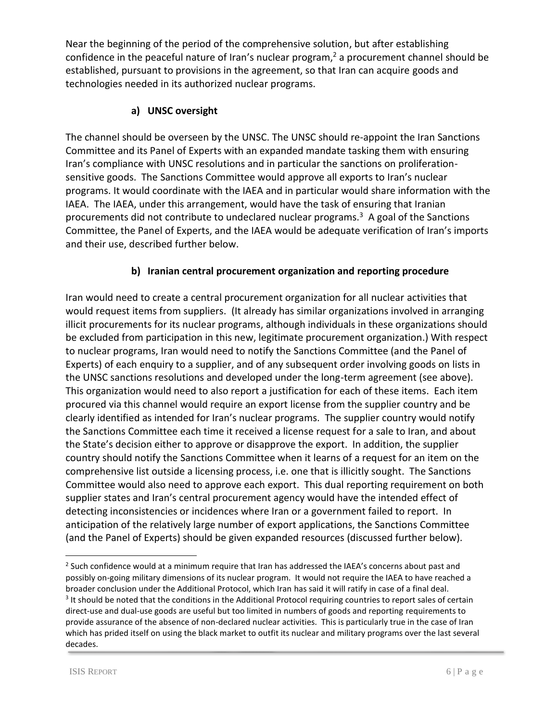Near the beginning of the period of the comprehensive solution, but after establishing confidence in the peaceful nature of Iran's nuclear program,<sup>2</sup> a procurement channel should be established, pursuant to provisions in the agreement, so that Iran can acquire goods and technologies needed in its authorized nuclear programs.

## **a) UNSC oversight**

The channel should be overseen by the UNSC. The UNSC should re-appoint the Iran Sanctions Committee and its Panel of Experts with an expanded mandate tasking them with ensuring Iran's compliance with UNSC resolutions and in particular the sanctions on proliferationsensitive goods. The Sanctions Committee would approve all exports to Iran's nuclear programs. It would coordinate with the IAEA and in particular would share information with the IAEA. The IAEA, under this arrangement, would have the task of ensuring that Iranian procurements did not contribute to undeclared nuclear programs.<sup>3</sup> A goal of the Sanctions Committee, the Panel of Experts, and the IAEA would be adequate verification of Iran's imports and their use, described further below.

## **b) Iranian central procurement organization and reporting procedure**

Iran would need to create a central procurement organization for all nuclear activities that would request items from suppliers. (It already has similar organizations involved in arranging illicit procurements for its nuclear programs, although individuals in these organizations should be excluded from participation in this new, legitimate procurement organization.) With respect to nuclear programs, Iran would need to notify the Sanctions Committee (and the Panel of Experts) of each enquiry to a supplier, and of any subsequent order involving goods on lists in the UNSC sanctions resolutions and developed under the long-term agreement (see above). This organization would need to also report a justification for each of these items. Each item procured via this channel would require an export license from the supplier country and be clearly identified as intended for Iran's nuclear programs. The supplier country would notify the Sanctions Committee each time it received a license request for a sale to Iran, and about the State's decision either to approve or disapprove the export. In addition, the supplier country should notify the Sanctions Committee when it learns of a request for an item on the comprehensive list outside a licensing process, i.e. one that is illicitly sought. The Sanctions Committee would also need to approve each export. This dual reporting requirement on both supplier states and Iran's central procurement agency would have the intended effect of detecting inconsistencies or incidences where Iran or a government failed to report. In anticipation of the relatively large number of export applications, the Sanctions Committee (and the Panel of Experts) should be given expanded resources (discussed further below).

l

<sup>&</sup>lt;sup>2</sup> Such confidence would at a minimum require that Iran has addressed the IAEA's concerns about past and possibly on-going military dimensions of its nuclear program. It would not require the IAEA to have reached a broader conclusion under the Additional Protocol, which Iran has said it will ratify in case of a final deal. <sup>3</sup> It should be noted that the conditions in the Additional Protocol requiring countries to report sales of certain direct-use and dual-use goods are useful but too limited in numbers of goods and reporting requirements to provide assurance of the absence of non-declared nuclear activities. This is particularly true in the case of Iran which has prided itself on using the black market to outfit its nuclear and military programs over the last several decades.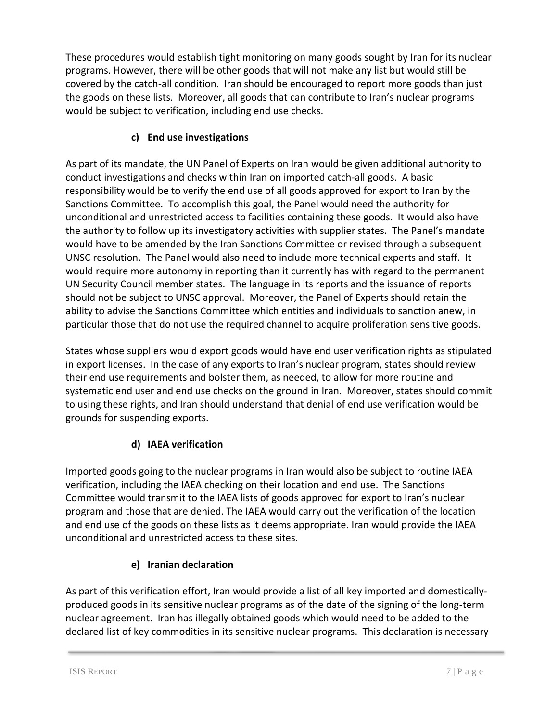These procedures would establish tight monitoring on many goods sought by Iran for its nuclear programs. However, there will be other goods that will not make any list but would still be covered by the catch-all condition. Iran should be encouraged to report more goods than just the goods on these lists. Moreover, all goods that can contribute to Iran's nuclear programs would be subject to verification, including end use checks.

## **c) End use investigations**

As part of its mandate, the UN Panel of Experts on Iran would be given additional authority to conduct investigations and checks within Iran on imported catch-all goods. A basic responsibility would be to verify the end use of all goods approved for export to Iran by the Sanctions Committee. To accomplish this goal, the Panel would need the authority for unconditional and unrestricted access to facilities containing these goods. It would also have the authority to follow up its investigatory activities with supplier states. The Panel's mandate would have to be amended by the Iran Sanctions Committee or revised through a subsequent UNSC resolution. The Panel would also need to include more technical experts and staff. It would require more autonomy in reporting than it currently has with regard to the permanent UN Security Council member states. The language in its reports and the issuance of reports should not be subject to UNSC approval. Moreover, the Panel of Experts should retain the ability to advise the Sanctions Committee which entities and individuals to sanction anew, in particular those that do not use the required channel to acquire proliferation sensitive goods.

States whose suppliers would export goods would have end user verification rights as stipulated in export licenses. In the case of any exports to Iran's nuclear program, states should review their end use requirements and bolster them, as needed, to allow for more routine and systematic end user and end use checks on the ground in Iran. Moreover, states should commit to using these rights, and Iran should understand that denial of end use verification would be grounds for suspending exports.

## **d) IAEA verification**

Imported goods going to the nuclear programs in Iran would also be subject to routine IAEA verification, including the IAEA checking on their location and end use. The Sanctions Committee would transmit to the IAEA lists of goods approved for export to Iran's nuclear program and those that are denied. The IAEA would carry out the verification of the location and end use of the goods on these lists as it deems appropriate. Iran would provide the IAEA unconditional and unrestricted access to these sites.

## **e) Iranian declaration**

As part of this verification effort, Iran would provide a list of all key imported and domesticallyproduced goods in its sensitive nuclear programs as of the date of the signing of the long-term nuclear agreement. Iran has illegally obtained goods which would need to be added to the declared list of key commodities in its sensitive nuclear programs. This declaration is necessary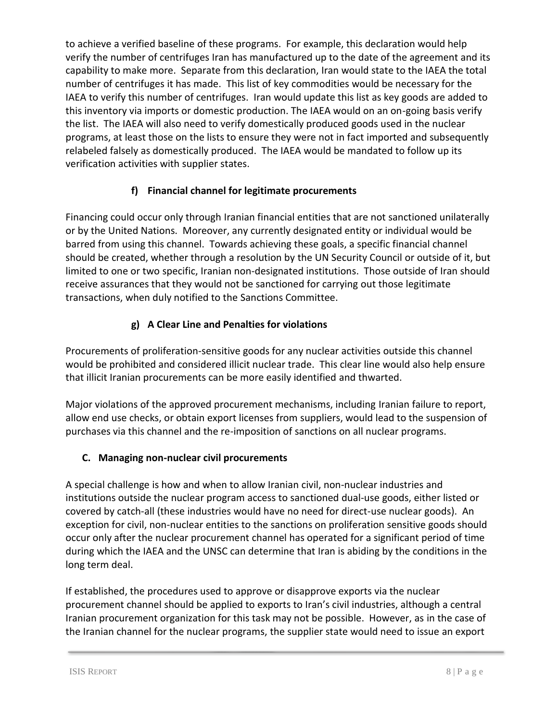to achieve a verified baseline of these programs. For example, this declaration would help verify the number of centrifuges Iran has manufactured up to the date of the agreement and its capability to make more. Separate from this declaration, Iran would state to the IAEA the total number of centrifuges it has made. This list of key commodities would be necessary for the IAEA to verify this number of centrifuges. Iran would update this list as key goods are added to this inventory via imports or domestic production. The IAEA would on an on-going basis verify the list. The IAEA will also need to verify domestically produced goods used in the nuclear programs, at least those on the lists to ensure they were not in fact imported and subsequently relabeled falsely as domestically produced. The IAEA would be mandated to follow up its verification activities with supplier states.

## **f) Financial channel for legitimate procurements**

Financing could occur only through Iranian financial entities that are not sanctioned unilaterally or by the United Nations. Moreover, any currently designated entity or individual would be barred from using this channel. Towards achieving these goals, a specific financial channel should be created, whether through a resolution by the UN Security Council or outside of it, but limited to one or two specific, Iranian non-designated institutions. Those outside of Iran should receive assurances that they would not be sanctioned for carrying out those legitimate transactions, when duly notified to the Sanctions Committee.

#### **g) A Clear Line and Penalties for violations**

Procurements of proliferation-sensitive goods for any nuclear activities outside this channel would be prohibited and considered illicit nuclear trade. This clear line would also help ensure that illicit Iranian procurements can be more easily identified and thwarted.

Major violations of the approved procurement mechanisms, including Iranian failure to report, allow end use checks, or obtain export licenses from suppliers, would lead to the suspension of purchases via this channel and the re-imposition of sanctions on all nuclear programs.

#### **C. Managing non-nuclear civil procurements**

A special challenge is how and when to allow Iranian civil, non-nuclear industries and institutions outside the nuclear program access to sanctioned dual-use goods, either listed or covered by catch-all (these industries would have no need for direct-use nuclear goods). An exception for civil, non-nuclear entities to the sanctions on proliferation sensitive goods should occur only after the nuclear procurement channel has operated for a significant period of time during which the IAEA and the UNSC can determine that Iran is abiding by the conditions in the long term deal.

If established, the procedures used to approve or disapprove exports via the nuclear procurement channel should be applied to exports to Iran's civil industries, although a central Iranian procurement organization for this task may not be possible. However, as in the case of the Iranian channel for the nuclear programs, the supplier state would need to issue an export